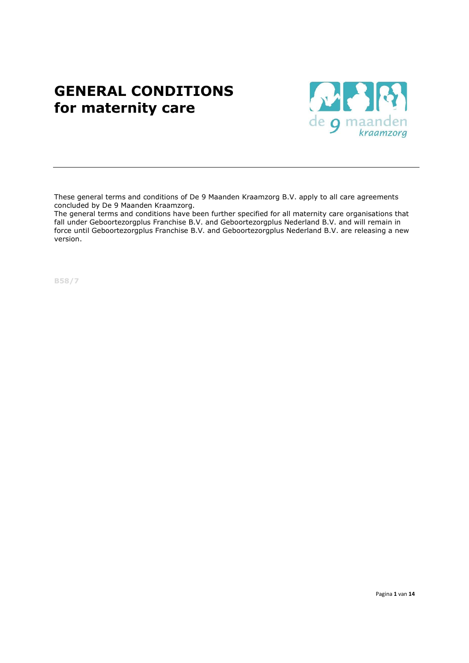# GENERAL CONDITIONS for maternity care



These general terms and conditions of De 9 Maanden Kraamzorg B.V. apply to all care agreements concluded by De 9 Maanden Kraamzorg.

The general terms and conditions have been further specified for all maternity care organisations that fall under Geboortezorgplus Franchise B.V. and Geboortezorgplus Nederland B.V. and will remain in force until Geboortezorgplus Franchise B.V. and Geboortezorgplus Nederland B.V. are releasing a new version.

B58/7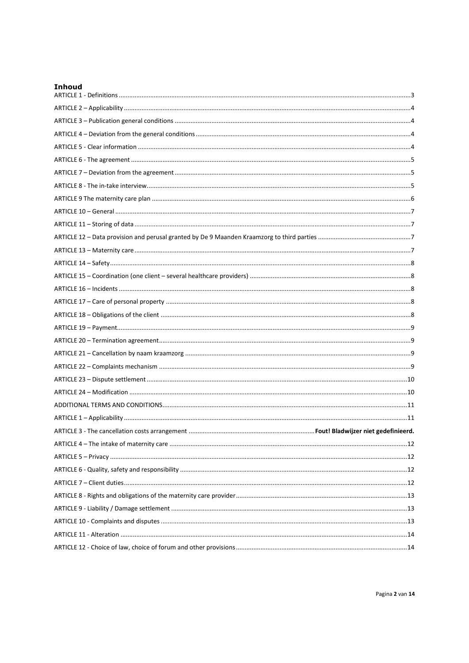| <b>Inhoud</b> |  |
|---------------|--|
|               |  |
|               |  |
|               |  |
|               |  |
|               |  |
|               |  |
|               |  |
|               |  |
|               |  |
|               |  |
|               |  |
|               |  |
|               |  |
|               |  |
|               |  |
|               |  |
|               |  |
|               |  |
|               |  |
|               |  |
|               |  |
|               |  |
|               |  |
|               |  |
|               |  |
|               |  |
|               |  |
|               |  |
|               |  |
|               |  |
|               |  |
|               |  |
|               |  |
|               |  |
|               |  |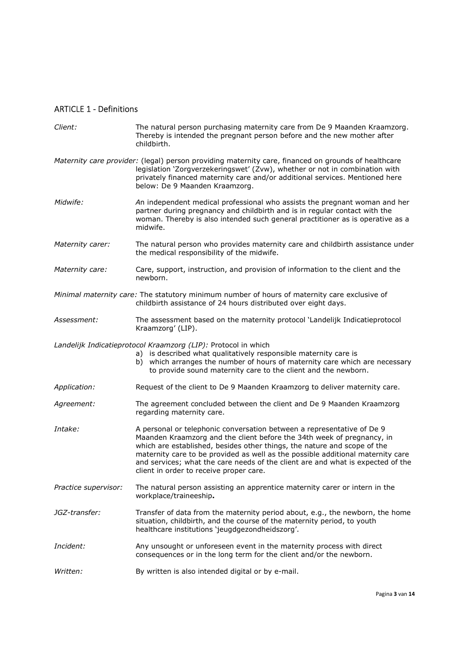# ARTICLE 1 - Definitions

| Client:              | The natural person purchasing maternity care from De 9 Maanden Kraamzorg.<br>Thereby is intended the pregnant person before and the new mother after<br>childbirth.                                                                                                                                                                                                                                                                           |
|----------------------|-----------------------------------------------------------------------------------------------------------------------------------------------------------------------------------------------------------------------------------------------------------------------------------------------------------------------------------------------------------------------------------------------------------------------------------------------|
|                      | Maternity care provider: (legal) person providing maternity care, financed on grounds of healthcare<br>legislation 'Zorgverzekeringswet' (Zvw), whether or not in combination with<br>privately financed maternity care and/or additional services. Mentioned here<br>below: De 9 Maanden Kraamzorg.                                                                                                                                          |
| Midwife:             | An independent medical professional who assists the pregnant woman and her<br>partner during pregnancy and childbirth and is in regular contact with the<br>woman. Thereby is also intended such general practitioner as is operative as a<br>midwife.                                                                                                                                                                                        |
| Maternity carer:     | The natural person who provides maternity care and childbirth assistance under<br>the medical responsibility of the midwife.                                                                                                                                                                                                                                                                                                                  |
| Maternity care:      | Care, support, instruction, and provision of information to the client and the<br>newborn.                                                                                                                                                                                                                                                                                                                                                    |
|                      | Minimal maternity care: The statutory minimum number of hours of maternity care exclusive of<br>childbirth assistance of 24 hours distributed over eight days.                                                                                                                                                                                                                                                                                |
| Assessment:          | The assessment based on the maternity protocol 'Landelijk Indicatieprotocol<br>Kraamzorg' (LIP).                                                                                                                                                                                                                                                                                                                                              |
|                      | Landelijk Indicatieprotocol Kraamzorg (LIP): Protocol in which<br>a) is described what qualitatively responsible maternity care is<br>b) which arranges the number of hours of maternity care which are necessary<br>to provide sound maternity care to the client and the newborn.                                                                                                                                                           |
| Application:         | Request of the client to De 9 Maanden Kraamzorg to deliver maternity care.                                                                                                                                                                                                                                                                                                                                                                    |
| Agreement:           | The agreement concluded between the client and De 9 Maanden Kraamzorg<br>regarding maternity care.                                                                                                                                                                                                                                                                                                                                            |
| Intake:              | A personal or telephonic conversation between a representative of De 9<br>Maanden Kraamzorg and the client before the 34th week of pregnancy, in<br>which are established, besides other things, the nature and scope of the<br>maternity care to be provided as well as the possible additional maternity care<br>and services; what the care needs of the client are and what is expected of the<br>client in order to receive proper care. |
| Practice supervisor: | The natural person assisting an apprentice maternity carer or intern in the<br>workplace/traineeship.                                                                                                                                                                                                                                                                                                                                         |
| JGZ-transfer:        | Transfer of data from the maternity period about, e.g., the newborn, the home<br>situation, childbirth, and the course of the maternity period, to youth<br>healthcare institutions 'jeugdgezondheidszorg'.                                                                                                                                                                                                                                   |
| Incident:            | Any unsought or unforeseen event in the maternity process with direct<br>consequences or in the long term for the client and/or the newborn.                                                                                                                                                                                                                                                                                                  |
| Written:             | By written is also intended digital or by e-mail.                                                                                                                                                                                                                                                                                                                                                                                             |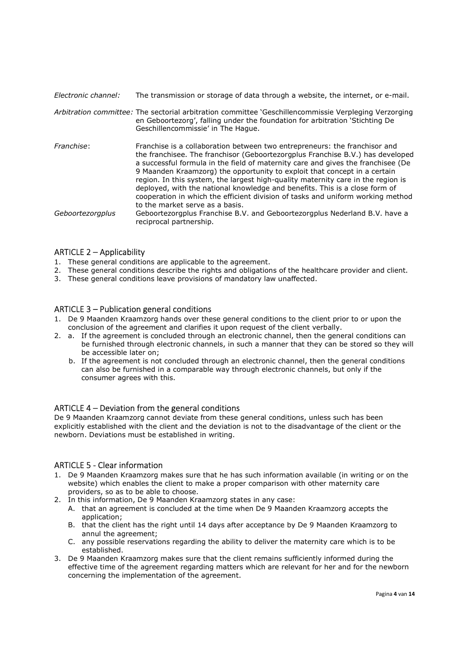| Electronic channel: | The transmission or storage of data through a website, the internet, or e-mail.                                                                                                                                                                                                                                                                                                                                                                                                                                                                                                                                        |
|---------------------|------------------------------------------------------------------------------------------------------------------------------------------------------------------------------------------------------------------------------------------------------------------------------------------------------------------------------------------------------------------------------------------------------------------------------------------------------------------------------------------------------------------------------------------------------------------------------------------------------------------------|
|                     | Arbitration committee: The sectorial arbitration committee 'Geschillencommissie Verpleging Verzorging<br>en Geboortezorg', falling under the foundation for arbitration 'Stichting De<br>Geschillencommissie' in The Hague.                                                                                                                                                                                                                                                                                                                                                                                            |
| Franchise:          | Franchise is a collaboration between two entrepreneurs: the franchisor and<br>the franchisee. The franchisor (Geboortezorgplus Franchise B.V.) has developed<br>a successful formula in the field of maternity care and gives the franchisee (De<br>9 Maanden Kraamzorg) the opportunity to exploit that concept in a certain<br>region. In this system, the largest high-quality maternity care in the region is<br>deployed, with the national knowledge and benefits. This is a close form of<br>cooperation in which the efficient division of tasks and uniform working method<br>to the market serve as a basis. |
| Geboortezorgplus    | Geboortezorgplus Franchise B.V. and Geboortezorgplus Nederland B.V. have a<br>reciprocal partnership.                                                                                                                                                                                                                                                                                                                                                                                                                                                                                                                  |

## ARTICLE 2 – Applicability

- 1. These general conditions are applicable to the agreement.
- 2. These general conditions describe the rights and obligations of the healthcare provider and client.
- 3. These general conditions leave provisions of mandatory law unaffected.

# ARTICLE 3 – Publication general conditions

- 1. De 9 Maanden Kraamzorg hands over these general conditions to the client prior to or upon the conclusion of the agreement and clarifies it upon request of the client verbally.
- 2. a. If the agreement is concluded through an electronic channel, then the general conditions can be furnished through electronic channels, in such a manner that they can be stored so they will be accessible later on;
	- b. If the agreement is not concluded through an electronic channel, then the general conditions can also be furnished in a comparable way through electronic channels, but only if the consumer agrees with this.

# ARTICLE 4 – Deviation from the general conditions

De 9 Maanden Kraamzorg cannot deviate from these general conditions, unless such has been explicitly established with the client and the deviation is not to the disadvantage of the client or the newborn. Deviations must be established in writing.

## ARTICLE 5 - Clear information

- 1. De 9 Maanden Kraamzorg makes sure that he has such information available (in writing or on the website) which enables the client to make a proper comparison with other maternity care providers, so as to be able to choose.
- 2. In this information, De 9 Maanden Kraamzorg states in any case:
	- A. that an agreement is concluded at the time when De 9 Maanden Kraamzorg accepts the application;
	- B. that the client has the right until 14 days after acceptance by De 9 Maanden Kraamzorg to annul the agreement;
	- C. any possible reservations regarding the ability to deliver the maternity care which is to be established.
- 3. De 9 Maanden Kraamzorg makes sure that the client remains sufficiently informed during the effective time of the agreement regarding matters which are relevant for her and for the newborn concerning the implementation of the agreement.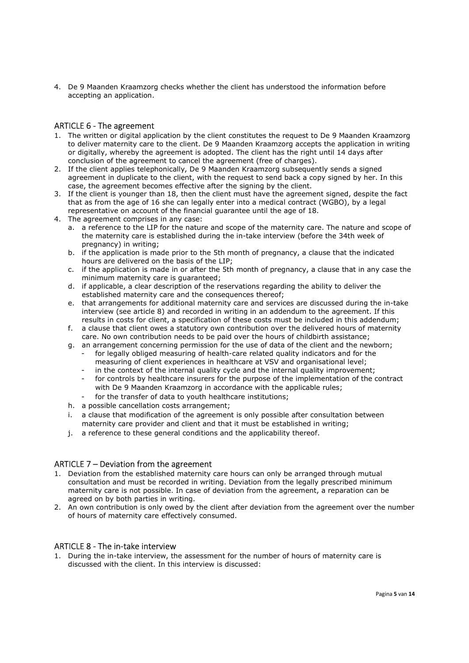4. De 9 Maanden Kraamzorg checks whether the client has understood the information before accepting an application.

## ARTICLE 6 - The agreement

- 1. The written or digital application by the client constitutes the request to De 9 Maanden Kraamzorg to deliver maternity care to the client. De 9 Maanden Kraamzorg accepts the application in writing or digitally, whereby the agreement is adopted. The client has the right until 14 days after conclusion of the agreement to cancel the agreement (free of charges).
- 2. If the client applies telephonically, De 9 Maanden Kraamzorg subsequently sends a signed agreement in duplicate to the client, with the request to send back a copy signed by her. In this case, the agreement becomes effective after the signing by the client.
- 3. If the client is younger than 18, then the client must have the agreement signed, despite the fact that as from the age of 16 she can legally enter into a medical contract (WGBO), by a legal representative on account of the financial guarantee until the age of 18.
- 4. The agreement comprises in any case:
	- a. a reference to the LIP for the nature and scope of the maternity care. The nature and scope of the maternity care is established during the in-take interview (before the 34th week of pregnancy) in writing;
	- b. if the application is made prior to the 5th month of pregnancy, a clause that the indicated hours are delivered on the basis of the LIP;
	- c. if the application is made in or after the 5th month of pregnancy, a clause that in any case the minimum maternity care is guaranteed;
	- d. if applicable, a clear description of the reservations regarding the ability to deliver the established maternity care and the consequences thereof;
	- e. that arrangements for additional maternity care and services are discussed during the in-take interview (see article 8) and recorded in writing in an addendum to the agreement. If this results in costs for client, a specification of these costs must be included in this addendum;
	- f. a clause that client owes a statutory own contribution over the delivered hours of maternity care. No own contribution needs to be paid over the hours of childbirth assistance;
	- g. an arrangement concerning permission for the use of data of the client and the newborn; for legally obliged measuring of health-care related quality indicators and for the
		- measuring of client experiences in healthcare at VSV and organisational level; in the context of the internal quality cycle and the internal quality improvement;
		- for controls by healthcare insurers for the purpose of the implementation of the contract with De 9 Maanden Kraamzorg in accordance with the applicable rules;
		- for the transfer of data to youth healthcare institutions;
	- h. a possible cancellation costs arrangement;
	- i. a clause that modification of the agreement is only possible after consultation between maternity care provider and client and that it must be established in writing;
	- j. a reference to these general conditions and the applicability thereof.

## ARTICLE 7 – Deviation from the agreement

- 1. Deviation from the established maternity care hours can only be arranged through mutual consultation and must be recorded in writing. Deviation from the legally prescribed minimum maternity care is not possible. In case of deviation from the agreement, a reparation can be agreed on by both parties in writing.
- 2. An own contribution is only owed by the client after deviation from the agreement over the number of hours of maternity care effectively consumed.

## ARTICLE 8 - The in-take interview

1. During the in-take interview, the assessment for the number of hours of maternity care is discussed with the client. In this interview is discussed: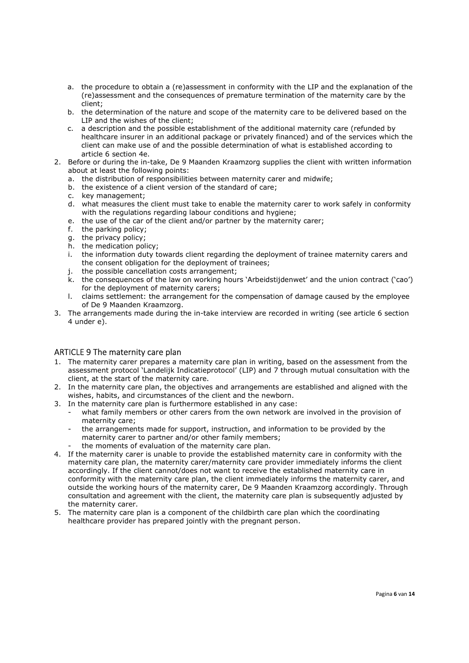- a. the procedure to obtain a (re)assessment in conformity with the LIP and the explanation of the (re)assessment and the consequences of premature termination of the maternity care by the client;
- b. the determination of the nature and scope of the maternity care to be delivered based on the LIP and the wishes of the client;
- c. a description and the possible establishment of the additional maternity care (refunded by healthcare insurer in an additional package or privately financed) and of the services which the client can make use of and the possible determination of what is established according to article 6 section 4e.
- 2. Before or during the in-take, De 9 Maanden Kraamzorg supplies the client with written information about at least the following points:
	- a. the distribution of responsibilities between maternity carer and midwife;
	- b. the existence of a client version of the standard of care;
	- c. key management;
	- d. what measures the client must take to enable the maternity carer to work safely in conformity with the regulations regarding labour conditions and hygiene;
	- e. the use of the car of the client and/or partner by the maternity carer;
	- f. the parking policy;
	- g. the privacy policy;
	- h. the medication policy;
	- i. the information duty towards client regarding the deployment of trainee maternity carers and the consent obligation for the deployment of trainees;
	- j. the possible cancellation costs arrangement;
	- k. the consequences of the law on working hours 'Arbeidstijdenwet' and the union contract ('cao') for the deployment of maternity carers;
	- l. claims settlement: the arrangement for the compensation of damage caused by the employee of De 9 Maanden Kraamzorg.
- 3. The arrangements made during the in-take interview are recorded in writing (see article 6 section 4 under e).

## ARTICLE 9 The maternity care plan

- 1. The maternity carer prepares a maternity care plan in writing, based on the assessment from the assessment protocol 'Landelijk Indicatieprotocol' (LIP) and 7 through mutual consultation with the client, at the start of the maternity care.
- 2. In the maternity care plan, the objectives and arrangements are established and aligned with the wishes, habits, and circumstances of the client and the newborn.
- 3. In the maternity care plan is furthermore established in any case:
	- what family members or other carers from the own network are involved in the provision of maternity care;
	- the arrangements made for support, instruction, and information to be provided by the maternity carer to partner and/or other family members;
		- the moments of evaluation of the maternity care plan.
- 4. If the maternity carer is unable to provide the established maternity care in conformity with the maternity care plan, the maternity carer/maternity care provider immediately informs the client accordingly. If the client cannot/does not want to receive the established maternity care in conformity with the maternity care plan, the client immediately informs the maternity carer, and outside the working hours of the maternity carer, De 9 Maanden Kraamzorg accordingly. Through consultation and agreement with the client, the maternity care plan is subsequently adjusted by the maternity carer.
- 5. The maternity care plan is a component of the childbirth care plan which the coordinating healthcare provider has prepared jointly with the pregnant person.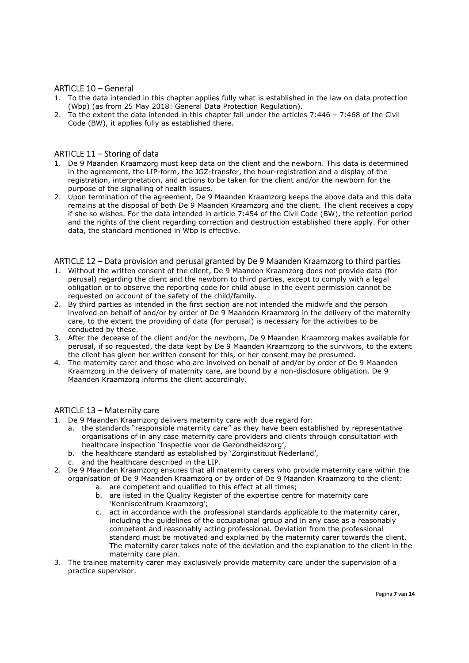## ARTICLE 10 – General

- 1. To the data intended in this chapter applies fully what is established in the law on data protection (Wbp) (as from 25 May 2018: General Data Protection Regulation).
- 2. To the extent the data intended in this chapter fall under the articles 7:446 7:468 of the Civil Code (BW), it applies fully as established there.

## ARTICLE 11 – Storing of data

- 1. De 9 Maanden Kraamzorg must keep data on the client and the newborn. This data is determined in the agreement, the LIP-form, the JGZ-transfer, the hour-registration and a display of the registration, interpretation, and actions to be taken for the client and/or the newborn for the purpose of the signalling of health issues.
- 2. Upon termination of the agreement, De 9 Maanden Kraamzorg keeps the above data and this data remains at the disposal of both De 9 Maanden Kraamzorg and the client. The client receives a copy if she so wishes. For the data intended in article 7:454 of the Civil Code (BW), the retention period and the rights of the client regarding correction and destruction established there apply. For other data, the standard mentioned in Wbp is effective.

#### ARTICLE 12 – Data provision and perusal granted by De 9 Maanden Kraamzorg to third parties

- 1. Without the written consent of the client, De 9 Maanden Kraamzorg does not provide data (for perusal) regarding the client and the newborn to third parties, except to comply with a legal obligation or to observe the reporting code for child abuse in the event permission cannot be requested on account of the safety of the child/family.
- 2. By third parties as intended in the first section are not intended the midwife and the person involved on behalf of and/or by order of De 9 Maanden Kraamzorg in the delivery of the maternity care, to the extent the providing of data (for perusal) is necessary for the activities to be conducted by these.
- 3. After the decease of the client and/or the newborn, De 9 Maanden Kraamzorg makes available for perusal, if so requested, the data kept by De 9 Maanden Kraamzorg to the survivors, to the extent the client has given her written consent for this, or her consent may be presumed.
- 4. The maternity carer and those who are involved on behalf of and/or by order of De 9 Maanden Kraamzorg in the delivery of maternity care, are bound by a non-disclosure obligation. De 9 Maanden Kraamzorg informs the client accordingly.

## ARTICLE 13 – Maternity care

- 1. De 9 Maanden Kraamzorg delivers maternity care with due regard for:
	- a. the standards "responsible maternity care" as they have been established by representative organisations of in any case maternity care providers and clients through consultation with healthcare inspection 'Inspectie voor de Gezondheidszorg',
	- b. the healthcare standard as established by 'Zorginstituut Nederland',
	- c. and the healthcare described in the LIP.
- 2. De 9 Maanden Kraamzorg ensures that all maternity carers who provide maternity care within the organisation of De 9 Maanden Kraamzorg or by order of De 9 Maanden Kraamzorg to the client:
	- a. are competent and qualified to this effect at all times;
	- b. are listed in the Quality Register of the expertise centre for maternity care 'Kenniscentrum Kraamzorg';
	- c. act in accordance with the professional standards applicable to the maternity carer, including the guidelines of the occupational group and in any case as a reasonably competent and reasonably acting professional. Deviation from the professional standard must be motivated and explained by the maternity carer towards the client. The maternity carer takes note of the deviation and the explanation to the client in the maternity care plan.
- 3. The trainee maternity carer may exclusively provide maternity care under the supervision of a practice supervisor.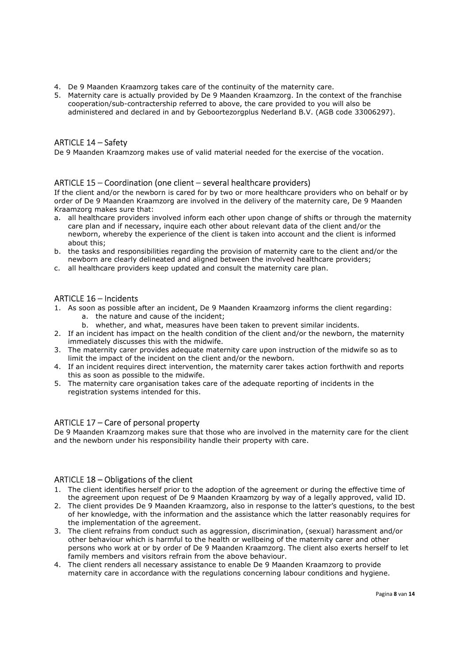- 4. De 9 Maanden Kraamzorg takes care of the continuity of the maternity care.
- 5. Maternity care is actually provided by De 9 Maanden Kraamzorg. In the context of the franchise cooperation/sub-contractership referred to above, the care provided to you will also be administered and declared in and by Geboortezorgplus Nederland B.V. (AGB code 33006297).

# ARTICLE 14 – Safety

De 9 Maanden Kraamzorg makes use of valid material needed for the exercise of the vocation.

## ARTICLE 15 – Coordination (one client – several healthcare providers)

If the client and/or the newborn is cared for by two or more healthcare providers who on behalf or by order of De 9 Maanden Kraamzorg are involved in the delivery of the maternity care, De 9 Maanden Kraamzorg makes sure that:

- a. all healthcare providers involved inform each other upon change of shifts or through the maternity care plan and if necessary, inquire each other about relevant data of the client and/or the newborn, whereby the experience of the client is taken into account and the client is informed about this;
- b. the tasks and responsibilities regarding the provision of maternity care to the client and/or the newborn are clearly delineated and aligned between the involved healthcare providers;
- c. all healthcare providers keep updated and consult the maternity care plan.

## ARTICLE 16 – Incidents

- 1. As soon as possible after an incident, De 9 Maanden Kraamzorg informs the client regarding:
	- a. the nature and cause of the incident;
	- b. whether, and what, measures have been taken to prevent similar incidents.
- 2. If an incident has impact on the health condition of the client and/or the newborn, the maternity immediately discusses this with the midwife.
- 3. The maternity carer provides adequate maternity care upon instruction of the midwife so as to limit the impact of the incident on the client and/or the newborn.
- 4. If an incident requires direct intervention, the maternity carer takes action forthwith and reports this as soon as possible to the midwife.
- 5. The maternity care organisation takes care of the adequate reporting of incidents in the registration systems intended for this.

## ARTICLE 17 – Care of personal property

De 9 Maanden Kraamzorg makes sure that those who are involved in the maternity care for the client and the newborn under his responsibility handle their property with care.

## ARTICLE 18 – Obligations of the client

- 1. The client identifies herself prior to the adoption of the agreement or during the effective time of the agreement upon request of De 9 Maanden Kraamzorg by way of a legally approved, valid ID.
- 2. The client provides De 9 Maanden Kraamzorg, also in response to the latter's questions, to the best of her knowledge, with the information and the assistance which the latter reasonably requires for the implementation of the agreement.
- 3. The client refrains from conduct such as aggression, discrimination, (sexual) harassment and/or other behaviour which is harmful to the health or wellbeing of the maternity carer and other persons who work at or by order of De 9 Maanden Kraamzorg. The client also exerts herself to let family members and visitors refrain from the above behaviour.
- 4. The client renders all necessary assistance to enable De 9 Maanden Kraamzorg to provide maternity care in accordance with the regulations concerning labour conditions and hygiene.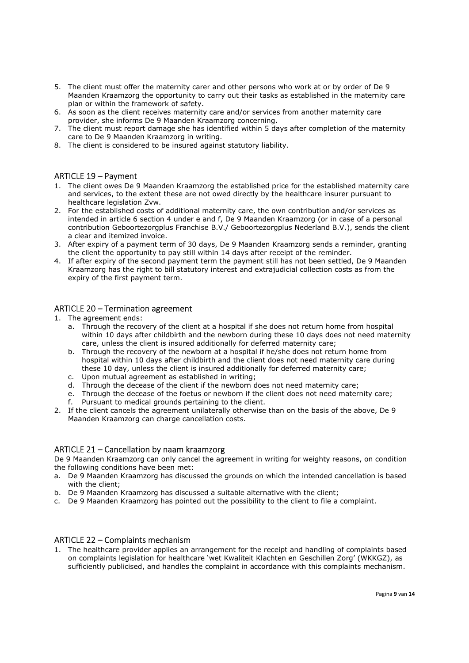- 5. The client must offer the maternity carer and other persons who work at or by order of De 9 Maanden Kraamzorg the opportunity to carry out their tasks as established in the maternity care plan or within the framework of safety.
- 6. As soon as the client receives maternity care and/or services from another maternity care provider, she informs De 9 Maanden Kraamzorg concerning.
- 7. The client must report damage she has identified within 5 days after completion of the maternity care to De 9 Maanden Kraamzorg in writing.
- 8. The client is considered to be insured against statutory liability.

## ARTICLE 19 – Payment

- 1. The client owes De 9 Maanden Kraamzorg the established price for the established maternity care and services, to the extent these are not owed directly by the healthcare insurer pursuant to healthcare legislation Zvw.
- 2. For the established costs of additional maternity care, the own contribution and/or services as intended in article 6 section 4 under e and f, De 9 Maanden Kraamzorg (or in case of a personal contribution Geboortezorgplus Franchise B.V./ Geboortezorgplus Nederland B.V.), sends the client a clear and itemized invoice.
- 3. After expiry of a payment term of 30 days, De 9 Maanden Kraamzorg sends a reminder, granting the client the opportunity to pay still within 14 days after receipt of the reminder.
- 4. If after expiry of the second payment term the payment still has not been settled, De 9 Maanden Kraamzorg has the right to bill statutory interest and extrajudicial collection costs as from the expiry of the first payment term.

#### ARTICLE 20 – Termination agreement

- 1. The agreement ends:
	- a. Through the recovery of the client at a hospital if she does not return home from hospital within 10 days after childbirth and the newborn during these 10 days does not need maternity care, unless the client is insured additionally for deferred maternity care;
	- b. Through the recovery of the newborn at a hospital if he/she does not return home from hospital within 10 days after childbirth and the client does not need maternity care during these 10 day, unless the client is insured additionally for deferred maternity care;
	-
	- c. Upon mutual agreement as established in writing;<br>d. Through the decease of the client if the newborn does not need maternity care: d. Through the decease of the client if the newborn does not need maternity care;
	- e. Through the decease of the foetus or newborn if the client does not need maternity care;
	- f. Pursuant to medical grounds pertaining to the client.
- 2. If the client cancels the agreement unilaterally otherwise than on the basis of the above, De 9 Maanden Kraamzorg can charge cancellation costs.

## ARTICLE 21 – Cancellation by naam kraamzorg

De 9 Maanden Kraamzorg can only cancel the agreement in writing for weighty reasons, on condition the following conditions have been met:

- a. De 9 Maanden Kraamzorg has discussed the grounds on which the intended cancellation is based with the client;
- b. De 9 Maanden Kraamzorg has discussed a suitable alternative with the client;
- c. De 9 Maanden Kraamzorg has pointed out the possibility to the client to file a complaint.

#### ARTICLE 22 – Complaints mechanism

1. The healthcare provider applies an arrangement for the receipt and handling of complaints based on complaints legislation for healthcare 'wet Kwaliteit Klachten en Geschillen Zorg' (WKKGZ), as sufficiently publicised, and handles the complaint in accordance with this complaints mechanism.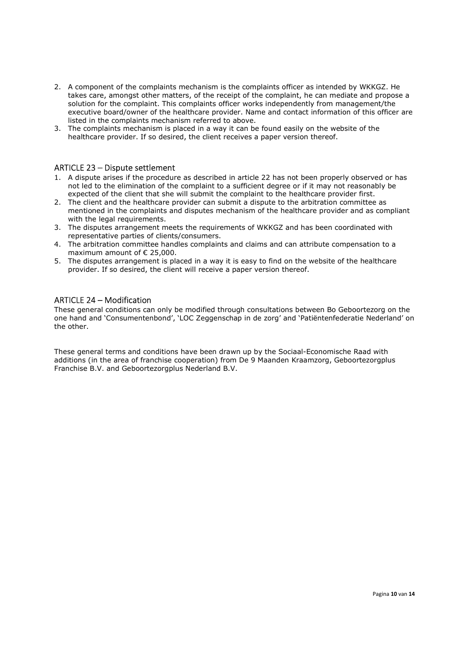- 2. A component of the complaints mechanism is the complaints officer as intended by WKKGZ. He takes care, amongst other matters, of the receipt of the complaint, he can mediate and propose a solution for the complaint. This complaints officer works independently from management/the executive board/owner of the healthcare provider. Name and contact information of this officer are listed in the complaints mechanism referred to above.
- 3. The complaints mechanism is placed in a way it can be found easily on the website of the healthcare provider. If so desired, the client receives a paper version thereof.

## ARTICLE 23 – Dispute settlement

- 1. A dispute arises if the procedure as described in article 22 has not been properly observed or has not led to the elimination of the complaint to a sufficient degree or if it may not reasonably be expected of the client that she will submit the complaint to the healthcare provider first.
- 2. The client and the healthcare provider can submit a dispute to the arbitration committee as mentioned in the complaints and disputes mechanism of the healthcare provider and as compliant with the legal requirements.
- 3. The disputes arrangement meets the requirements of WKKGZ and has been coordinated with representative parties of clients/consumers.
- 4. The arbitration committee handles complaints and claims and can attribute compensation to a maximum amount of € 25,000.
- 5. The disputes arrangement is placed in a way it is easy to find on the website of the healthcare provider. If so desired, the client will receive a paper version thereof.

#### ARTICLE 24 – Modification

These general conditions can only be modified through consultations between Bo Geboortezorg on the one hand and 'Consumentenbond', 'LOC Zeggenschap in de zorg' and 'Patiëntenfederatie Nederland' on the other.

These general terms and conditions have been drawn up by the Sociaal-Economische Raad with additions (in the area of franchise cooperation) from De 9 Maanden Kraamzorg, Geboortezorgplus Franchise B.V. and Geboortezorgplus Nederland B.V.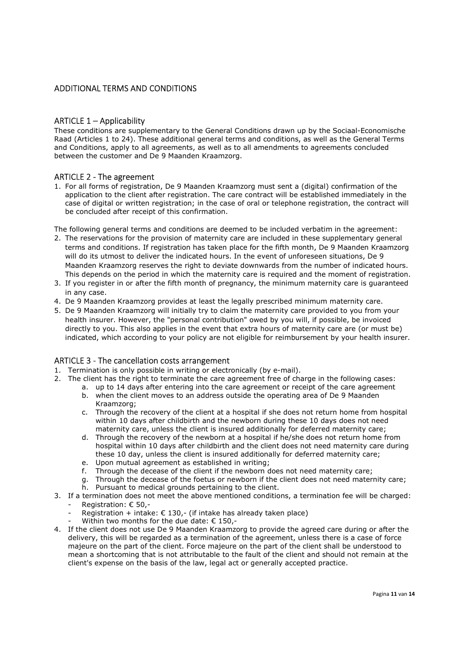## ADDITIONAL TERMS AND CONDITIONS

## ARTICLE 1 – Applicability

These conditions are supplementary to the General Conditions drawn up by the Sociaal-Economische Raad (Articles 1 to 24). These additional general terms and conditions, as well as the General Terms and Conditions, apply to all agreements, as well as to all amendments to agreements concluded between the customer and De 9 Maanden Kraamzorg.

## ARTICLE 2 - The agreement

1. For all forms of registration, De 9 Maanden Kraamzorg must sent a (digital) confirmation of the application to the client after registration. The care contract will be established immediately in the case of digital or written registration; in the case of oral or telephone registration, the contract will be concluded after receipt of this confirmation.

The following general terms and conditions are deemed to be included verbatim in the agreement:

- 2. The reservations for the provision of maternity care are included in these supplementary general terms and conditions. If registration has taken place for the fifth month, De 9 Maanden Kraamzorg will do its utmost to deliver the indicated hours. In the event of unforeseen situations, De 9 Maanden Kraamzorg reserves the right to deviate downwards from the number of indicated hours. This depends on the period in which the maternity care is required and the moment of registration.
- 3. If you register in or after the fifth month of pregnancy, the minimum maternity care is guaranteed in any case.
- 4. De 9 Maanden Kraamzorg provides at least the legally prescribed minimum maternity care.
- 5. De 9 Maanden Kraamzorg will initially try to claim the maternity care provided to you from your health insurer. However, the "personal contribution" owed by you will, if possible, be invoiced directly to you. This also applies in the event that extra hours of maternity care are (or must be) indicated, which according to your policy are not eligible for reimbursement by your health insurer.

#### ARTICLE 3 - The cancellation costs arrangement

- 1. Termination is only possible in writing or electronically (by e-mail).
- 2. The client has the right to terminate the care agreement free of charge in the following cases:
	- a. up to 14 days after entering into the care agreement or receipt of the care agreement
	- b. when the client moves to an address outside the operating area of De 9 Maanden Kraamzorg;
	- c. Through the recovery of the client at a hospital if she does not return home from hospital within 10 days after childbirth and the newborn during these 10 days does not need maternity care, unless the client is insured additionally for deferred maternity care;
	- d. Through the recovery of the newborn at a hospital if he/she does not return home from hospital within 10 days after childbirth and the client does not need maternity care during these 10 day, unless the client is insured additionally for deferred maternity care;
	- e. Upon mutual agreement as established in writing;
	- f. Through the decease of the client if the newborn does not need maternity care;
	- g. Through the decease of the foetus or newborn if the client does not need maternity care; h. Pursuant to medical grounds pertaining to the client.
- 3. If a termination does not meet the above mentioned conditions, a termination fee will be charged: Registration: € 50,-
	- Registration + intake:  $\epsilon$  130,- (if intake has already taken place)
	- Within two months for the due date:  $\epsilon$  150,-
- 4. If the client does not use De 9 Maanden Kraamzorg to provide the agreed care during or after the delivery, this will be regarded as a termination of the agreement, unless there is a case of force majeure on the part of the client. Force majeure on the part of the client shall be understood to mean a shortcoming that is not attributable to the fault of the client and should not remain at the client's expense on the basis of the law, legal act or generally accepted practice.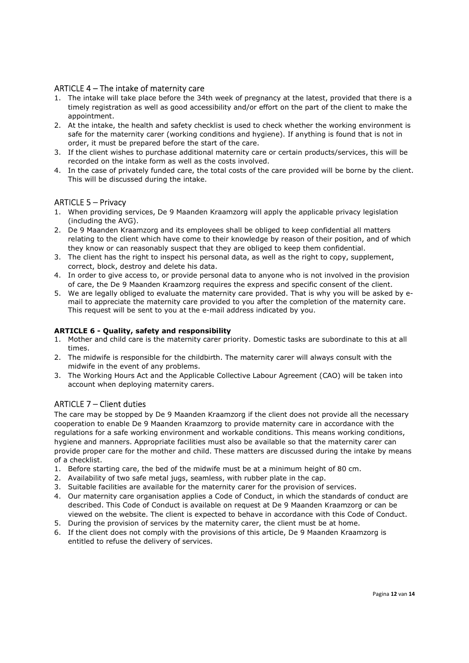# ARTICLE 4 – The intake of maternity care

- 1. The intake will take place before the 34th week of pregnancy at the latest, provided that there is a timely registration as well as good accessibility and/or effort on the part of the client to make the appointment.
- 2. At the intake, the health and safety checklist is used to check whether the working environment is safe for the maternity carer (working conditions and hygiene). If anything is found that is not in order, it must be prepared before the start of the care.
- 3. If the client wishes to purchase additional maternity care or certain products/services, this will be recorded on the intake form as well as the costs involved.
- 4. In the case of privately funded care, the total costs of the care provided will be borne by the client. This will be discussed during the intake.

## ARTICLE 5 – Privacy

- 1. When providing services, De 9 Maanden Kraamzorg will apply the applicable privacy legislation (including the AVG).
- 2. De 9 Maanden Kraamzorg and its employees shall be obliged to keep confidential all matters relating to the client which have come to their knowledge by reason of their position, and of which they know or can reasonably suspect that they are obliged to keep them confidential.
- 3. The client has the right to inspect his personal data, as well as the right to copy, supplement, correct, block, destroy and delete his data.
- 4. In order to give access to, or provide personal data to anyone who is not involved in the provision of care, the De 9 Maanden Kraamzorg requires the express and specific consent of the client.
- 5. We are legally obliged to evaluate the maternity care provided. That is why you will be asked by email to appreciate the maternity care provided to you after the completion of the maternity care. This request will be sent to you at the e-mail address indicated by you.

#### ARTICLE 6 - Quality, safety and responsibility

- 1. Mother and child care is the maternity carer priority. Domestic tasks are subordinate to this at all times.
- 2. The midwife is responsible for the childbirth. The maternity carer will always consult with the midwife in the event of any problems.
- 3. The Working Hours Act and the Applicable Collective Labour Agreement (CAO) will be taken into account when deploying maternity carers.

## ARTICLE 7 – Client duties

The care may be stopped by De 9 Maanden Kraamzorg if the client does not provide all the necessary cooperation to enable De 9 Maanden Kraamzorg to provide maternity care in accordance with the regulations for a safe working environment and workable conditions. This means working conditions, hygiene and manners. Appropriate facilities must also be available so that the maternity carer can provide proper care for the mother and child. These matters are discussed during the intake by means of a checklist.

- 1. Before starting care, the bed of the midwife must be at a minimum height of 80 cm.
- 2. Availability of two safe metal jugs, seamless, with rubber plate in the cap.
- 3. Suitable facilities are available for the maternity carer for the provision of services.
- 4. Our maternity care organisation applies a Code of Conduct, in which the standards of conduct are described. This Code of Conduct is available on request at De 9 Maanden Kraamzorg or can be viewed on the website. The client is expected to behave in accordance with this Code of Conduct.
- 5. During the provision of services by the maternity carer, the client must be at home.
- 6. If the client does not comply with the provisions of this article, De 9 Maanden Kraamzorg is entitled to refuse the delivery of services.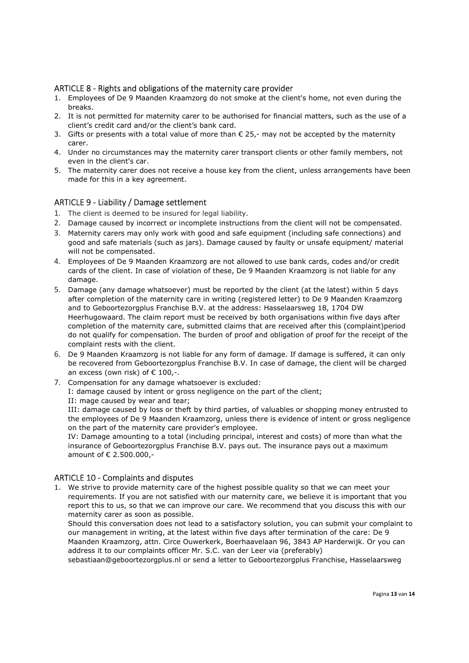## ARTICLE 8 - Rights and obligations of the maternity care provider

- 1. Employees of De 9 Maanden Kraamzorg do not smoke at the client's home, not even during the breaks.
- 2. It is not permitted for maternity carer to be authorised for financial matters, such as the use of a client's credit card and/or the client's bank card.
- 3. Gifts or presents with a total value of more than  $\epsilon$  25,- may not be accepted by the maternity carer.
- 4. Under no circumstances may the maternity carer transport clients or other family members, not even in the client's car.
- 5. The maternity carer does not receive a house key from the client, unless arrangements have been made for this in a key agreement.

## ARTICLE 9 - Liability / Damage settlement

- 1. The client is deemed to be insured for legal liability.
- 2. Damage caused by incorrect or incomplete instructions from the client will not be compensated.
- 3. Maternity carers may only work with good and safe equipment (including safe connections) and good and safe materials (such as jars). Damage caused by faulty or unsafe equipment/ material will not be compensated.
- 4. Employees of De 9 Maanden Kraamzorg are not allowed to use bank cards, codes and/or credit cards of the client. In case of violation of these, De 9 Maanden Kraamzorg is not liable for any damage.
- 5. Damage (any damage whatsoever) must be reported by the client (at the latest) within 5 days after completion of the maternity care in writing (registered letter) to De 9 Maanden Kraamzorg and to Geboortezorgplus Franchise B.V. at the address: Hasselaarsweg 18, 1704 DW Heerhugowaard. The claim report must be received by both organisations within five days after completion of the maternity care, submitted claims that are received after this (complaint)period do not qualify for compensation. The burden of proof and obligation of proof for the receipt of the complaint rests with the client.
- 6. De 9 Maanden Kraamzorg is not liable for any form of damage. If damage is suffered, it can only be recovered from Geboortezorgplus Franchise B.V. In case of damage, the client will be charged an excess (own risk) of  $\epsilon$  100,-.
- 7. Compensation for any damage whatsoever is excluded:

I: damage caused by intent or gross negligence on the part of the client;

II: mage caused by wear and tear;

III: damage caused by loss or theft by third parties, of valuables or shopping money entrusted to the employees of De 9 Maanden Kraamzorg, unless there is evidence of intent or gross negligence on the part of the maternity care provider's employee.

IV: Damage amounting to a total (including principal, interest and costs) of more than what the insurance of Geboortezorgplus Franchise B.V. pays out. The insurance pays out a maximum amount of € 2.500.000,-

## ARTICLE 10 - Complaints and disputes

1. We strive to provide maternity care of the highest possible quality so that we can meet your requirements. If you are not satisfied with our maternity care, we believe it is important that you report this to us, so that we can improve our care. We recommend that you discuss this with our maternity carer as soon as possible.

Should this conversation does not lead to a satisfactory solution, you can submit your complaint to our management in writing, at the latest within five days after termination of the care: De 9 Maanden Kraamzorg, attn. Circe Ouwerkerk, Boerhaavelaan 96, 3843 AP Harderwijk. Or you can address it to our complaints officer Mr. S.C. van der Leer via (preferably)

sebastiaan@geboortezorgplus.nl or send a letter to Geboortezorgplus Franchise, Hasselaarsweg